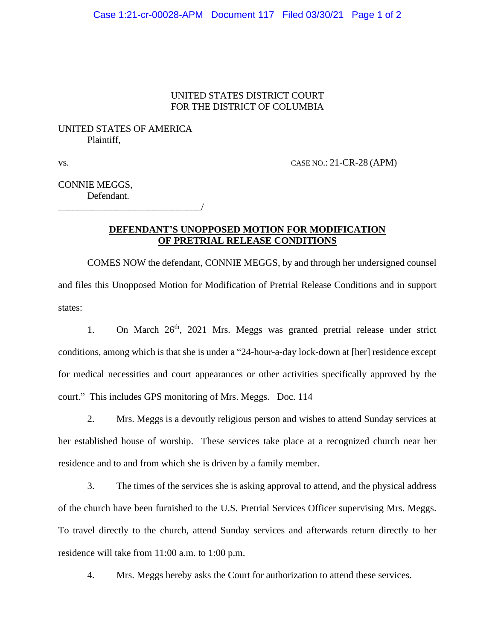#### UNITED STATES DISTRICT COURT FOR THE DISTRICT OF COLUMBIA

# UNITED STATES OF AMERICA Plaintiff,

\_\_\_\_\_\_\_\_\_\_\_\_\_\_\_\_\_\_\_\_\_\_\_\_\_\_\_\_\_\_/

vs. CASE NO.: 21-CR-28 (APM)

CONNIE MEGGS, Defendant.

## **DEFENDANT'S UNOPPOSED MOTION FOR MODIFICATION OF PRETRIAL RELEASE CONDITIONS**

COMES NOW the defendant, CONNIE MEGGS, by and through her undersigned counsel and files this Unopposed Motion for Modification of Pretrial Release Conditions and in support states:

1. On March 26<sup>th</sup>, 2021 Mrs. Meggs was granted pretrial release under strict conditions, among which is that she is under a "24-hour-a-day lock-down at [her] residence except for medical necessities and court appearances or other activities specifically approved by the court." This includes GPS monitoring of Mrs. Meggs. Doc. 114

2. Mrs. Meggs is a devoutly religious person and wishes to attend Sunday services at her established house of worship. These services take place at a recognized church near her residence and to and from which she is driven by a family member.

3. The times of the services she is asking approval to attend, and the physical address of the church have been furnished to the U.S. Pretrial Services Officer supervising Mrs. Meggs. To travel directly to the church, attend Sunday services and afterwards return directly to her residence will take from 11:00 a.m. to 1:00 p.m.

4. Mrs. Meggs hereby asks the Court for authorization to attend these services.